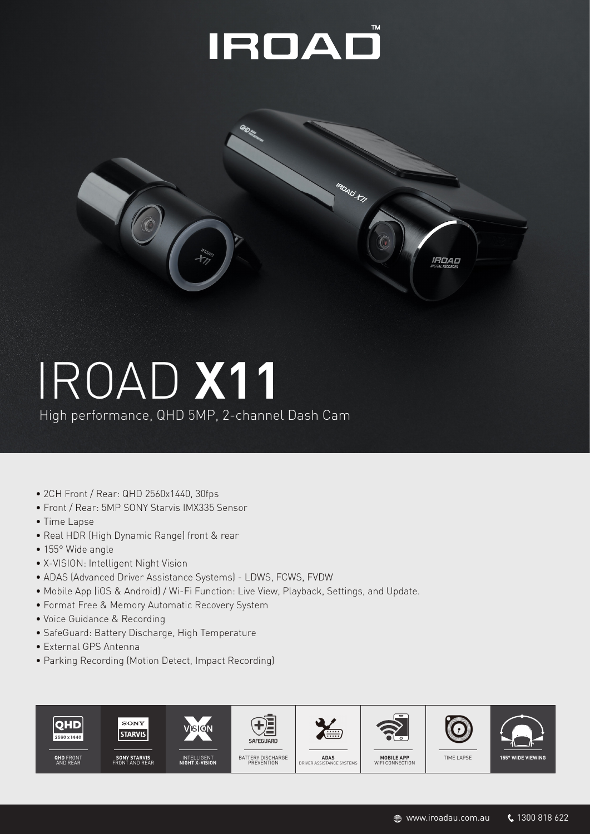### IROAD



# IROAD **X11**

High performance, QHD 5MP, 2-channel Dash Cam

- 2CH Front / Rear: QHD 2560x1440, 30fps
- Front / Rear: 5MP SONY Starvis IMX335 Sensor
- Time Lapse
- Real HDR (High Dynamic Range) front & rear
- 155° Wide angle
- X-VISION: Intelligent Night Vision
- ADAS (Advanced Driver Assistance Systems) LDWS, FCWS, FVDW
- Mobile App (iOS & Android) / Wi-Fi Function: Live View, Playback, Settings, and Update.
- Format Free & Memory Automatic Recovery System
- Voice Guidance & Recording
- SafeGuard: Battery Discharge, High Temperature
- External GPS Antenna
- Parking Recording (Motion Detect, Impact Recording)